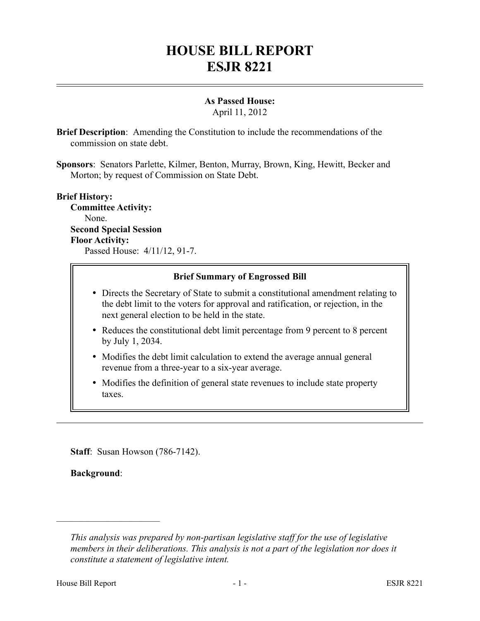## **HOUSE BILL REPORT ESJR 8221**

## **As Passed House:**

April 11, 2012

**Brief Description**: Amending the Constitution to include the recommendations of the commission on state debt.

**Sponsors**: Senators Parlette, Kilmer, Benton, Murray, Brown, King, Hewitt, Becker and Morton; by request of Commission on State Debt.

## **Brief History:**

**Committee Activity:** None. **Second Special Session Floor Activity:** Passed House: 4/11/12, 91-7.

**Brief Summary of Engrossed Bill**

- Directs the Secretary of State to submit a constitutional amendment relating to the debt limit to the voters for approval and ratification, or rejection, in the next general election to be held in the state.
- Reduces the constitutional debt limit percentage from 9 percent to 8 percent by July 1, 2034.
- Modifies the debt limit calculation to extend the average annual general revenue from a three-year to a six-year average.
- Modifies the definition of general state revenues to include state property taxes.

**Staff**: Susan Howson (786-7142).

**Background**:

––––––––––––––––––––––

*This analysis was prepared by non-partisan legislative staff for the use of legislative members in their deliberations. This analysis is not a part of the legislation nor does it constitute a statement of legislative intent.*